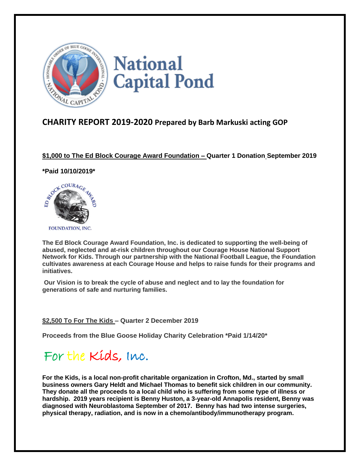

## **CHARITY REPORT 2019-2020 Prepared by Barb Markuski acting GOP**

### **\$1,000 to The Ed Block Courage Award Foundation – Quarter 1 Donation September 2019**

#### **\*Paid 10/10/2019\***



**The Ed Block Courage Award Foundation, Inc. is dedicated to supporting the well-being of abused, neglected and at-risk children throughout our Courage House National Support Network for Kids. Through our partnership with the National Football League, the Foundation cultivates awareness at each Courage House and helps to raise funds for their programs and initiatives.**

**Our Vision is to break the cycle of abuse and neglect and to lay the foundation for generations of safe and nurturing families.**

### **\$2,500 To For The Kids – Quarter 2 December 2019**

**Proceeds from the Blue Goose Holiday Charity Celebration \*Paid 1/14/20\*** 

# For the Kids, Inc.

**For the Kids, is a local non-profit charitable organization in Crofton, Md., started by small business owners Gary Heldt and Michael Thomas to benefit sick children in our community. They donate all the proceeds to a local child who is suffering from some type of illness or hardship. 2019 years recipient is Benny Huston, a 3-year-old Annapolis resident, Benny was diagnosed with Neuroblastoma September of 2017. Benny has had two intense surgeries, physical therapy, radiation, and is now in a chemo/antibody/immunotherapy program.**